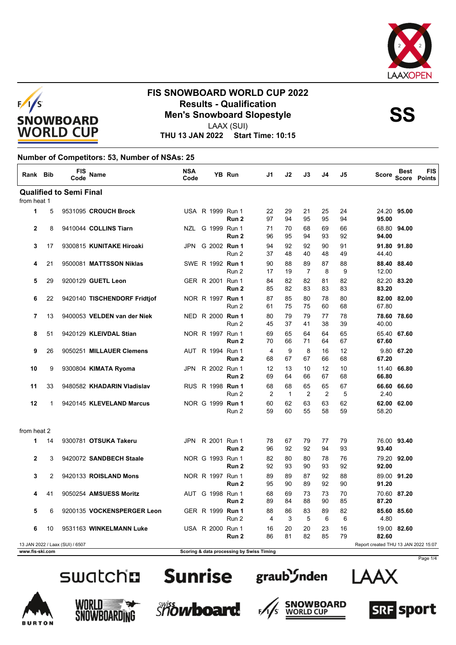



# **FIS SNOWBOARD WORLD CUP 2022 Results - Qualification<br>
Men's Snowboard Slopestyle<br>
Men's Sonowboard Slopestyle**

LAAX (SUI)

**THU 13 JAN 2022 Start Time: 10:15**

#### **Number of Competitors: 53, Number of NSAs: 25**

| Rank Bib        |    | FIS<br>Code                     | <b>Name</b>                  | <b>NSA</b><br>Code |                         | <b>YB Run</b>                             | J1       | J2                 | J3       | J4       | J5       | <b>Score</b>                         | <b>Best</b> | <b>FIS</b><br>Score Points |
|-----------------|----|---------------------------------|------------------------------|--------------------|-------------------------|-------------------------------------------|----------|--------------------|----------|----------|----------|--------------------------------------|-------------|----------------------------|
|                 |    | <b>Qualified to Semi Final</b>  |                              |                    |                         |                                           |          |                    |          |          |          |                                      |             |                            |
| from heat 1     |    |                                 |                              |                    |                         |                                           |          |                    |          |          |          |                                      |             |                            |
| $\mathbf{1}$    | 5  |                                 | 9531095 CROUCH Brock         |                    | USA R 1999 Run 1        | Run 2                                     | 22<br>97 | 29<br>94           | 21<br>95 | 25<br>95 | 24<br>94 | 95.00                                | 24.20 95.00 |                            |
| $\mathbf{2}$    | 8  |                                 | 9410044 COLLINS Tiarn        |                    | NZL G 1999 Run 1        | Run <sub>2</sub>                          | 71<br>96 | 70<br>95           | 68<br>94 | 69<br>93 | 66<br>92 | 94.00                                | 68.80 94.00 |                            |
| 3               | 17 |                                 | 9300815 KUNITAKE Hiroaki     |                    | JPN G 2002 <b>Run 1</b> | Run 2                                     | 94<br>37 | 92<br>48           | 92<br>40 | 90<br>48 | 91<br>49 | 44.40                                | 91.80 91.80 |                            |
| 4               | 21 |                                 | 9500081 MATTSSON Niklas      |                    | SWE R 1992 Run 1        | Run 2                                     | 90<br>17 | 88<br>19           | 89<br>7  | 87<br>8  | 88<br>9  | 12.00                                | 88.40 88.40 |                            |
| 5               | 29 |                                 | 9200129 GUETL Leon           |                    | GER R 2001 Run 1        | Run 2                                     | 84<br>85 | 82<br>82           | 82<br>83 | 81<br>83 | 82<br>83 | 83.20                                | 82.20 83.20 |                            |
| 6               | 22 |                                 | 9420140 TISCHENDORF Fridtjof |                    | NOR R 1997 Run 1        | Run 2                                     | 87<br>61 | 85<br>75           | 80<br>75 | 78<br>60 | 80<br>68 | 67.80                                | 82.00 82.00 |                            |
| $\overline{7}$  | 13 |                                 | 9400053 VELDEN van der Niek  |                    | NED R 2000 Run 1        | Run 2                                     | 80<br>45 | 79<br>37           | 79<br>41 | 77<br>38 | 78<br>39 | 40.00                                | 78.60 78.60 |                            |
| 8               | 51 |                                 | 9420129 KLEIVDAL Stian       |                    | NOR R 1997 Run 1        | Run 2                                     | 69<br>70 | 65<br>66           | 64<br>71 | 64<br>64 | 65<br>67 | 67.60                                | 65.40 67.60 |                            |
| 9               | 26 |                                 | 9050251 MILLAUER Clemens     |                    | AUT R 1994 Run 1        | Run 2                                     | 4<br>68  | 9<br>67            | 8<br>67  | 16<br>66 | 12<br>68 | 67.20                                | 9.80 67.20  |                            |
| 10              | 9  |                                 | 9300804 KIMATA Ryoma         | JPN                | R 2002 Run 1            | Run <sub>2</sub>                          | 12<br>69 | 13<br>64           | 10<br>66 | 12<br>67 | 10<br>68 | 66.80                                | 11.40 66.80 |                            |
| 11              | 33 |                                 | 9480582 KHADARIN Vladislav   |                    | RUS R 1998 Run 1        | Run 2                                     | 68<br>2  | 68<br>$\mathbf{1}$ | 65<br>2  | 65<br>2  | 67<br>5  | 2.40                                 | 66.60 66.60 |                            |
| 12              | 1  |                                 | 9420145 KLEVELAND Marcus     |                    | NOR G 1999 Run 1        | Run 2                                     | 60<br>59 | 62<br>60           | 63<br>55 | 63<br>58 | 62<br>59 | 58.20                                | 62.00 62.00 |                            |
| from heat 2     |    |                                 |                              |                    |                         |                                           |          |                    |          |          |          |                                      |             |                            |
| 1               | 14 |                                 | 9300781 OTSUKA Takeru        | JPN                | R 2001 Run 1            | Run 2                                     | 78<br>96 | 67<br>92           | 79<br>92 | 77<br>94 | 79<br>93 | 93.40                                | 76.00 93.40 |                            |
| $\mathbf{2}$    | 3  |                                 | 9420072 SANDBECH Staale      |                    | NOR G 1993 Run 1        | Run 2                                     | 82<br>92 | 80<br>93           | 80<br>90 | 78<br>93 | 76<br>92 | 92.00                                | 79.20 92.00 |                            |
| 3               | 2  |                                 | 9420133 ROISLAND Mons        |                    | NOR R 1997 Run 1        | Run 2                                     | 89<br>95 | 89<br>90           | 87<br>89 | 92<br>92 | 88<br>90 | 91.20                                | 89.00 91.20 |                            |
| 4               | 41 |                                 | 9050254 AMSUESS Moritz       |                    | AUT G 1998 Run 1        | Run 2                                     | 68<br>89 | 69<br>84           | 73<br>88 | 73<br>90 | 70<br>85 | 87.20                                | 70.60 87.20 |                            |
| 5               | 6  |                                 | 9200135 VOCKENSPERGER Leon   |                    | GER R 1999 Run 1        | Run 2                                     | 88<br>4  | 86<br>3            | 83<br>5  | 89<br>6  | 82<br>6  | 4.80                                 | 85.60 85.60 |                            |
| 6               | 10 |                                 | 9531163 WINKELMANN Luke      |                    | USA R 2000 Run 1        | Run 2                                     | 16<br>86 | 20<br>81           | 20<br>82 | 23<br>85 | 16<br>79 | 82.60                                | 19.00 82.60 |                            |
|                 |    | 13 JAN 2022 / Laax (SUI) / 6507 |                              |                    |                         |                                           |          |                    |          |          |          | Report created THU 13 JAN 2022 15:07 |             |                            |
| www.fis-ski.com |    |                                 |                              |                    |                         | Scoring & data processing by Swiss Timing |          |                    |          |          |          |                                      |             |                            |





 $F_{\ell}$ 













Page 1/4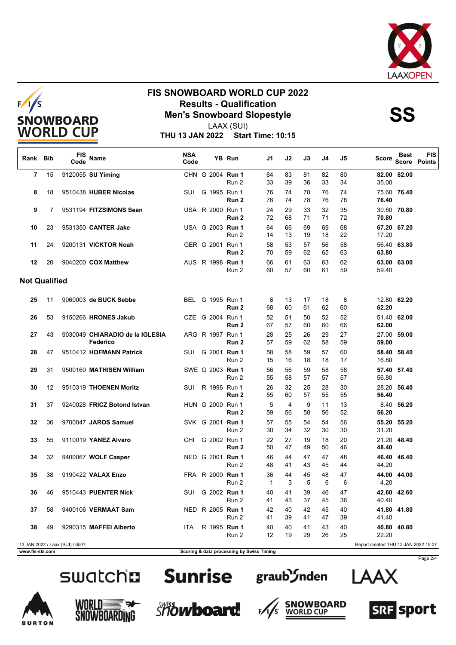



## **FIS SNOWBOARD WORLD CUP 2022 Results - Qualification<br>
Men's Snowboard Slopestyle<br>
Men's Sonowboard Slopestyle**



LAAX (SUI)

**THU 13 JAN 2022 Start Time: 10:15**

| Rank Bib             |                | <b>FIS</b><br>Code              | <b>Name</b>                                 | <b>NSA</b><br>Code |                  | YB Run           | J1                 | J2                   | J3       | J4       | J5       | Score                                | <b>Best</b> | <b>FIS</b><br>Score Points |
|----------------------|----------------|---------------------------------|---------------------------------------------|--------------------|------------------|------------------|--------------------|----------------------|----------|----------|----------|--------------------------------------|-------------|----------------------------|
| 7                    | 15             |                                 | 9120055 SU Yiming                           |                    | CHN G 2004 Run 1 | Run 2            | 84<br>33           | 83<br>39             | 81<br>36 | 82<br>33 | 80<br>34 | 35.00                                | 82.00 82.00 |                            |
| 8                    | 18             |                                 | 9510438 HUBER Nicolas                       | <b>SUI</b>         | G 1995 Run 1     | Run <sub>2</sub> | 76<br>76           | 74<br>74             | 78<br>78 | 76<br>76 | 74<br>78 | 76.40                                | 75.60 76.40 |                            |
| 9                    | $\overline{7}$ |                                 | 9531194 FITZSIMONS Sean                     |                    | USA R 2000 Run 1 | Run 2            | 24<br>72           | 29<br>68             | 33<br>71 | 32<br>71 | 35<br>72 | 70.80                                | 30.60 70.80 |                            |
| 10                   | 23             |                                 | 9531350 CANTER Jake                         |                    | USA G 2003 Run 1 | Run 2            | 64<br>14           | 66<br>13             | 69<br>19 | 69<br>18 | 68<br>22 | 17.20                                | 67.20 67.20 |                            |
| 11                   | 24             |                                 | 9200131 VICKTOR Noah                        |                    | GER G 2001 Run 1 | Run <sub>2</sub> | 58<br>70           | 53<br>59             | 57<br>62 | 56<br>65 | 58<br>63 | 63.80                                | 56.40 63.80 |                            |
| 12                   | 20             |                                 | 9040200 COX Matthew                         |                    | AUS R 1998 Run 1 | Run 2            | 66<br>60           | 61<br>57             | 63<br>60 | 63<br>61 | 62<br>59 | 59.40                                | 63.00 63.00 |                            |
| <b>Not Qualified</b> |                |                                 |                                             |                    |                  |                  |                    |                      |          |          |          |                                      |             |                            |
| 25                   | 11             |                                 | 9060003 de BUCK Sebbe                       |                    | BEL G 1995 Run 1 | Run 2            | 8<br>68            | 13<br>60             | 17<br>61 | 18<br>62 | 8<br>60  | 62.20                                | 12.80 62.20 |                            |
| 26                   | 53             |                                 | 9150266 HRONES Jakub                        |                    | CZE G 2004 Run 1 | Run <sub>2</sub> | 52<br>67           | 51<br>57             | 50<br>60 | 52<br>60 | 52<br>66 | 62.00                                | 51.40 62.00 |                            |
| 27                   | 43             |                                 | 9030049 CHIARADIO de la IGLESIA<br>Federico |                    | ARG R 1997 Run 1 | Run 2            | 28<br>57           | 25<br>59             | 26<br>62 | 29<br>58 | 27<br>59 | 59.00                                | 27.00 59.00 |                            |
| 28                   | 47             |                                 | 9510412 HOFMANN Patrick                     | <b>SUI</b>         | G 2001 Run 1     | Run 2            | 58<br>15           | 58<br>16             | 59<br>18 | 57<br>18 | 60<br>17 | 58.40<br>16.80                       | 58.40       |                            |
| 29                   | 31             |                                 | 9500160 MATHISEN William                    |                    | SWE G 2003 Run 1 | Run 2            | 56<br>55           | 56<br>58             | 59<br>57 | 58<br>57 | 58<br>57 | 56.80                                | 57.40 57.40 |                            |
| 30                   | 12             |                                 | 9510319 THOENEN Moritz                      | SUI                | R 1996 Run 1     | Run 2            | 26<br>55           | 32<br>60             | 25<br>57 | 28<br>55 | 30<br>55 | 56.40                                | 28.20 56.40 |                            |
| 31                   | 37             |                                 | 9240028 FRICZ Botond Istvan                 |                    | HUN G 2000 Run 1 | Run 2            | 5<br>59            | $\overline{4}$<br>56 | 9<br>58  | 11<br>56 | 13<br>52 | 56.20                                | 8.40 56.20  |                            |
| 32                   | 36             |                                 | 9700047 JAROS Samuel                        |                    | SVK G 2001 Run 1 | Run 2            | 57<br>30           | 55<br>34             | 54<br>32 | 54<br>30 | 56<br>30 | 31.20                                | 55.20 55.20 |                            |
| 33                   | 55             |                                 | 9110019 YANEZ Alvaro                        | CHI.               | G 2002 Run 1     | Run 2            | 22<br>50           | 27<br>47             | 19<br>49 | 18<br>50 | 20<br>46 | 48.40                                | 21.20 48.40 |                            |
| 34                   | 32             |                                 | 9400067 WOLF Casper                         |                    | NED G 2001 Run 1 | Run 2            | 46<br>48           | 44<br>41             | 47<br>43 | 47<br>45 | 48<br>44 | 44.20                                | 46.40 46.40 |                            |
| 35                   | 38             |                                 | 9190422 VALAX Enzo                          |                    | FRA R 2000 Run 1 | Run 2            | 36<br>$\mathbf{1}$ | 44<br>3              | 45<br>5  | 48<br>6  | 47<br>6  | 4.20                                 | 44.00 44.00 |                            |
| 36                   | 46             |                                 | 9510443 PUENTER Nick                        | SUI                | G 2002 Run 1     | Run 2            | 40<br>41           | 41<br>43             | 39<br>37 | 46<br>45 | 47<br>36 | 40.40                                | 42.60 42.60 |                            |
| 37                   | 58             |                                 | 9400106 VERMAAT Sam                         |                    | NED R 2005 Run 1 | Run 2            | 42<br>41           | 40<br>39             | 42<br>41 | 45<br>47 | 40<br>39 | 41.40                                | 41.80 41.80 |                            |
| 38                   | 49             |                                 | 9290315 MAFFEI Alberto                      | <b>ITA</b>         | R 1995 Run 1     | Run 2            | 40<br>12           | 40<br>19             | 41<br>29 | 43<br>26 | 40<br>25 | 40.80<br>22.20                       | 40.80       |                            |
|                      |                | 13 JAN 2022 / Laax (SUI) / 6507 |                                             |                    |                  |                  |                    |                      |          |          |          | Report created THU 13 JAN 2022 15:07 |             |                            |



**www.fis-ski.com Scoring & data processing by Swiss Timing**



#### **Sunrise**



 $F/$ 













Page 2/4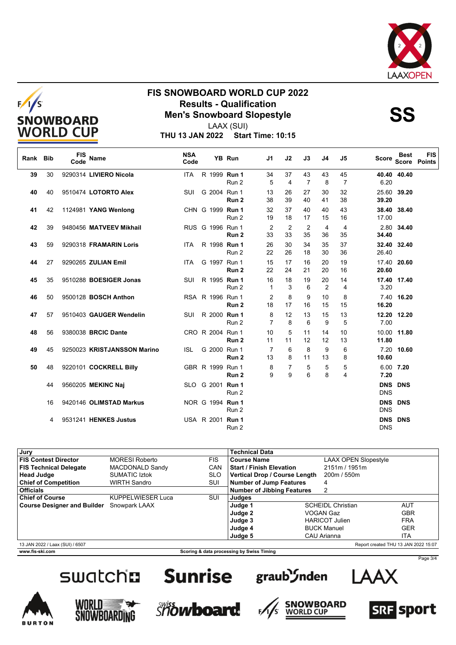



## **FIS SNOWBOARD WORLD CUP 2022 Results - Qualification<br>
Men's Snowboard Slopestyle<br>
Men's Sonowboard Slopestyle**



LAAX (SUI)

**THU 13 JAN 2022 Start Time: 10:15**

| Rank Bib |    | <b>FIS</b><br>Code | <b>Name</b>                 | <b>NSA</b><br>Code |                  | <b>YB Run</b>    | J <sub>1</sub>      | J2                   | J3                   | J <sub>4</sub> | J <sub>5</sub>       | Score                    | <b>Best</b><br><b>Score</b> | <b>FIS</b><br><b>Points</b> |
|----------|----|--------------------|-----------------------------|--------------------|------------------|------------------|---------------------|----------------------|----------------------|----------------|----------------------|--------------------------|-----------------------------|-----------------------------|
| 39       | 30 |                    | 9290314 LIVIERO Nicola      | <b>ITA</b>         | R 1999 Run 1     | Run 2            | 34<br>5             | 37<br>4              | 43<br>$\overline{7}$ | 43<br>8        | 45<br>$\overline{7}$ | 6.20                     | 40.40 40.40                 |                             |
| 40       | 40 |                    | 9510474 LOTORTO Alex        | <b>SUI</b>         | G 2004 Run 1     | Run <sub>2</sub> | 13<br>38            | 26<br>39             | 27<br>40             | 30<br>41       | 32<br>38             | 25.60<br>39.20           | 39.20                       |                             |
| 41       | 42 |                    | 1124981 YANG Wenlong        |                    | CHN G 1999 Run 1 | Run 2            | 32<br>19            | 37<br>18             | 40<br>17             | 40<br>15       | 43<br>16             | 38.40<br>17.00           | 38.40                       |                             |
| 42       | 39 |                    | 9480456 MATVEEV Mikhail     |                    | RUS G 1996 Run 1 | Run <sub>2</sub> | 2<br>33             | $\overline{2}$<br>33 | $\overline{2}$<br>35 | 4<br>36        | $\overline{4}$<br>35 | 34.40                    | 2.80 34.40                  |                             |
| 43       | 59 |                    | 9290318 FRAMARIN Loris      | ITA.               | R 1998 Run 1     | Run 2            | 26<br>22            | 30<br>26             | 34<br>18             | 35<br>30       | 37<br>36             | 26.40                    | 32.40 32.40                 |                             |
| 44       | 27 |                    | 9290265 ZULIAN Emil         | <b>ITA</b>         | G 1997 Run 1     | Run <sub>2</sub> | 15<br>22            | 17<br>24             | 16<br>21             | 20<br>20       | 19<br>16             | 17.40<br>20.60           | 20.60                       |                             |
| 45       | 35 |                    | 9510288 BOESIGER Jonas      | SUI                | R 1995 Run 1     | Run 2            | 16<br>1             | 18<br>3              | 19<br>6              | 20<br>2        | 14<br>$\overline{4}$ | 3.20                     | 17.40 17.40                 |                             |
| 46       | 50 |                    | 9500128 <b>BOSCH Anthon</b> |                    | RSA R 1996 Run 1 | Run 2            | 2<br>18             | 8<br>17              | 9<br>16              | 10<br>15       | 8<br>15              | 16.20                    | 7.40 16.20                  |                             |
| 47       | 57 |                    | 9510403 GAUGER Wendelin     | SUI                | R 2000 Run 1     | Run 2            | 8<br>$\overline{7}$ | 12<br>8              | 13<br>6              | 15<br>9        | 13<br>5              | 12.20<br>7.00            | 12.20                       |                             |
| 48       | 56 |                    | 9380038 BRCIC Dante         |                    | CRO R 2004 Run 1 | Run <sub>2</sub> | 10<br>11            | 5<br>11              | 11<br>12             | 14<br>12       | 10<br>13             | 10.00<br>11.80           | 11.80                       |                             |
| 49       | 45 |                    | 9250023 KRISTJANSSON Marino | <b>ISL</b>         | G 2000 Run 1     | Run <sub>2</sub> | 7<br>13             | 6<br>8               | 8<br>11              | 9<br>13        | 6<br>8               | 10.60                    | 7.20 10.60                  |                             |
| 50       | 48 |                    | 9220101 COCKRELL Billy      |                    | GBR R 1999 Run 1 | Run <sub>2</sub> | 8<br>9              | 7<br>9               | 5<br>6               | 5<br>8         | 5<br>4               | 7.20                     | 6.00 7.20                   |                             |
|          | 44 |                    | 9560205 MEKINC Naj          |                    | SLO G 2001 Run 1 | Run 2            |                     |                      |                      |                |                      | <b>DNS</b><br><b>DNS</b> | <b>DNS</b>                  |                             |
|          | 16 |                    | 9420146 OLIMSTAD Markus     |                    | NOR G 1994 Run 1 | Run 2            |                     |                      |                      |                |                      | <b>DNS</b>               | <b>DNS DNS</b>              |                             |
|          | 4  |                    | 9531241 HENKES Justus       |                    | USA R 2001 Run 1 | Run 2            |                     |                      |                      |                |                      | <b>DNS</b><br><b>DNS</b> | <b>DNS</b>                  |                             |

| Jury                                                         |                          |            | Technical Data                       |  |                          |                             |                                      |  |
|--------------------------------------------------------------|--------------------------|------------|--------------------------------------|--|--------------------------|-----------------------------|--------------------------------------|--|
| <b>FIS Contest Director</b>                                  | <b>MORESI Roberto</b>    | <b>FIS</b> | <b>Course Name</b>                   |  |                          | <b>LAAX OPEN Slopestyle</b> |                                      |  |
| <b>FIS Technical Delegate</b>                                | <b>MACDONALD Sandy</b>   | CAN        | <b>Start / Finish Elevation</b>      |  | 2151m / 1951m            |                             |                                      |  |
| <b>Head Judge</b>                                            | <b>SUMATIC Iztok</b>     | <b>SLO</b> | <b>Vertical Drop / Course Length</b> |  | 200m / 550m              |                             |                                      |  |
| <b>Chief of Competition</b>                                  | WIRTH Sandro             | SUI        | <b>Number of Jump Features</b>       |  | 4                        |                             |                                      |  |
| <b>Officials</b>                                             |                          |            | <b>Number of Jibbing Features</b>    |  | 2                        |                             |                                      |  |
| <b>Chief of Course</b>                                       | <b>KUPPELWIESER Luca</b> | SUI        | Judges                               |  |                          |                             |                                      |  |
| <b>Course Designer and Builder</b> Snowpark LAAX             |                          |            | Judge 1                              |  | <b>SCHEIDL Christian</b> |                             | <b>AUT</b>                           |  |
|                                                              |                          |            | Judge 2                              |  | VOGAN Gaz                |                             | <b>GBR</b>                           |  |
|                                                              |                          |            | Judge 3                              |  | <b>HARICOT Julien</b>    |                             | <b>FRA</b>                           |  |
|                                                              |                          |            | Judge 4                              |  | <b>BUCK Manuel</b>       |                             | <b>GER</b>                           |  |
|                                                              |                          |            | Judge 5                              |  | CAU Arianna              |                             | <b>ITA</b>                           |  |
| 13 JAN 2022 / Laax (SUI) / 6507                              |                          |            |                                      |  |                          |                             | Report created THU 13 JAN 2022 15:07 |  |
| www.fis-ski.com<br>Scoring & data processing by Swiss Timing |                          |            |                                      |  |                          |                             |                                      |  |



### **Sunrise**















Page 3/4